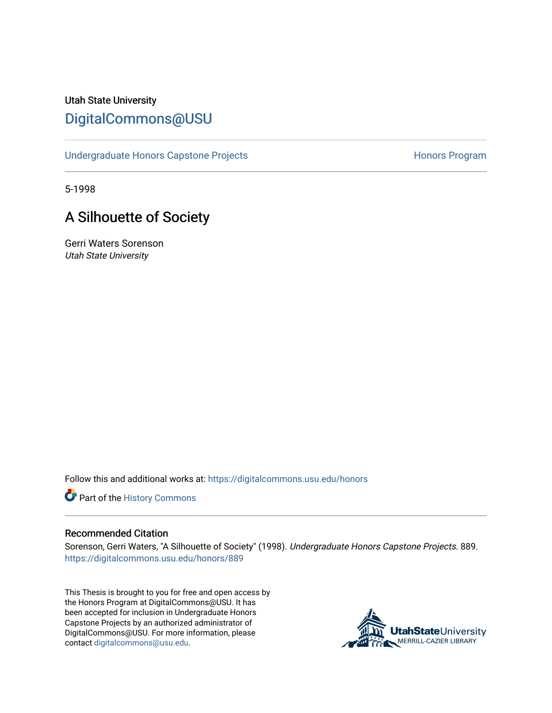## Utah State University [DigitalCommons@USU](https://digitalcommons.usu.edu/)

[Undergraduate Honors Capstone Projects](https://digitalcommons.usu.edu/honors) **Honors Program** Honors Program

5-1998

## A Silhouette of Society

Gerri Waters Sorenson Utah State University

Follow this and additional works at: [https://digitalcommons.usu.edu/honors](https://digitalcommons.usu.edu/honors?utm_source=digitalcommons.usu.edu%2Fhonors%2F889&utm_medium=PDF&utm_campaign=PDFCoverPages)

Part of the [History Commons](http://network.bepress.com/hgg/discipline/489?utm_source=digitalcommons.usu.edu%2Fhonors%2F889&utm_medium=PDF&utm_campaign=PDFCoverPages) 

### Recommended Citation

Sorenson, Gerri Waters, "A Silhouette of Society" (1998). Undergraduate Honors Capstone Projects. 889. [https://digitalcommons.usu.edu/honors/889](https://digitalcommons.usu.edu/honors/889?utm_source=digitalcommons.usu.edu%2Fhonors%2F889&utm_medium=PDF&utm_campaign=PDFCoverPages)

This Thesis is brought to you for free and open access by the Honors Program at DigitalCommons@USU. It has been accepted for inclusion in Undergraduate Honors Capstone Projects by an authorized administrator of DigitalCommons@USU. For more information, please contact [digitalcommons@usu.edu](mailto:digitalcommons@usu.edu).

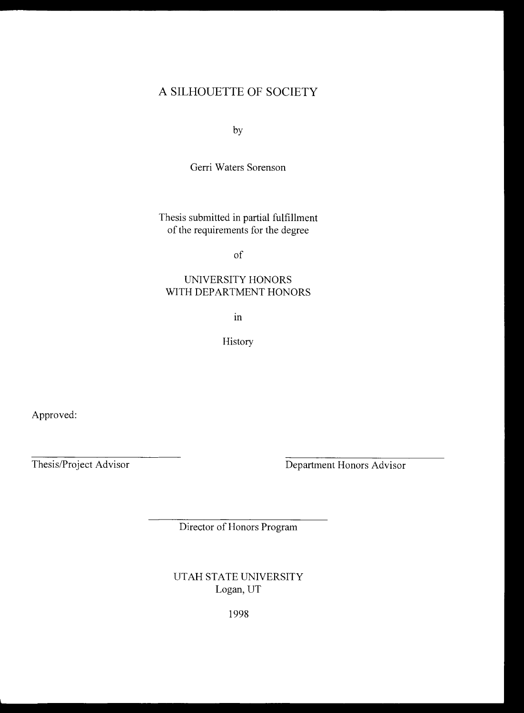## A SILHOUETTE OF SOCIETY

by

Gerri Waters Sorenson

Thesis submitted in partial fulfillment of the requirements for the degree

of

### UNIVERSITY HONORS WITH DEPARTMENT HONORS

m

History

Approved:

Thesis/Project Advisor

Department Honors Advisor

Director of Honors Program

UTAH STATE UNIVERSITY Logan, UT

1998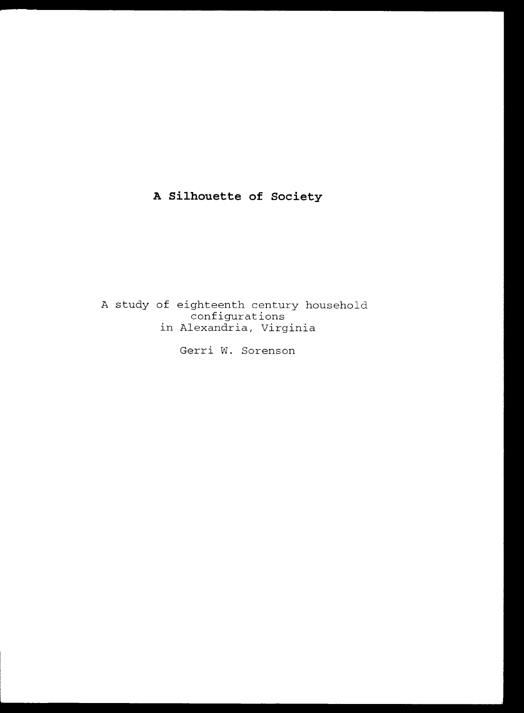# **A Silhouette of Society**

A study of eighteenth century househo configurat in Alexandria, Virgin

Gerri W. Sorenson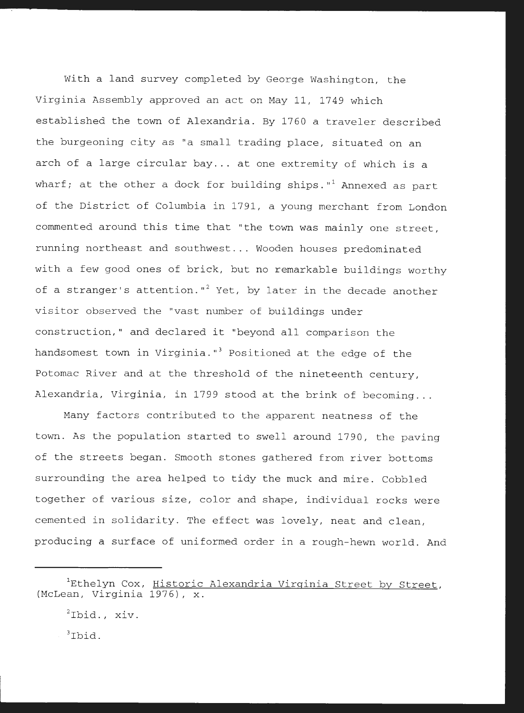With a land survey completed by George Washington, the Virginia Assembly approved an act on May 11, 1749 which established the town of Alexandria. By 1760 a traveler described the burgeoning city as ''a small trading place, situated on an arch of a large circular bay ... at one extremity of which is a wharf; at the other a dock for building ships."<sup>1</sup> Annexed as part of the District of Columbia in 1791, a young merchant from London commented around this time that "the town was mainly one street, running northeast and southwest ... Wooden houses predominated with a few good ones of brick, but no remarkable buildings worthy of a stranger's attention."<sup>2</sup> Yet, by later in the decade another visitor observed the "vast number of buildings under construction," and declared it "beyond all comparison the handsomest town in Virginia."<sup>3</sup> Positioned at the edge of the Potomac River and at the threshold of the nineteenth century, Alexandria, Virginia, in 1799 stood at the brink of becoming...

Many factors contributed to the apparent neatness of the town. As the population started to swell around 1790, the paving of the streets began. Smooth stones gathered from river bottoms surrounding the area helped to tidy the muck and mire. Cobbled together of various size, color and shape, individual rocks were cemented in solidarity. The effect was lovely, neat and clean, producing a surface of uniformed order in a rough-hewn world. And

<sup>1</sup>Ethelyn Cox, <u>Historic Alexandria Virginia Street by Stree</u> (McLean, Virginia 1976), x.

 $^{2}$ Ibid., xiv.

 $3$ Ibid.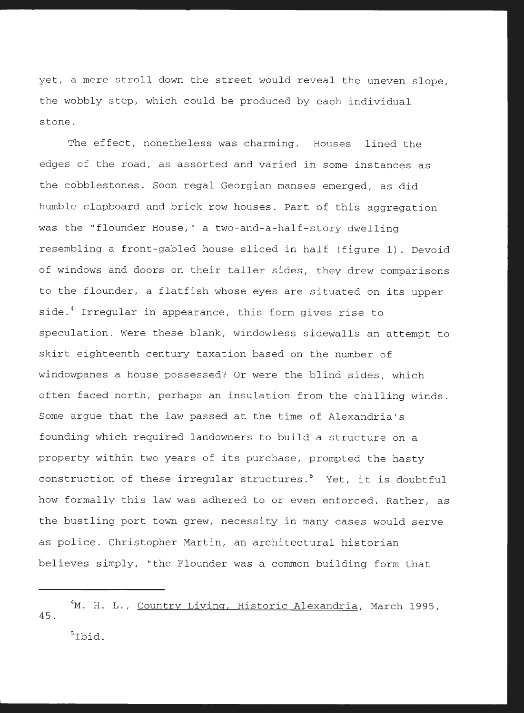yet, a mere stroll down the street would reveal the uneven slope, the wobbly step, which could be produced by each individual stone.

The effect, nonetheless was charming. Houses lined the edges of the road, as assorted and varied in some instances as the cobblestones. Soon regal Georgian manses emerged, as did humble clapboard and brick row houses. Part of this aggregation was the "flounder House," a two-and-a-half-story dwelling resembling a front-gabled house sliced in half (figure 1). Devoid of windows and doors on their taller sides, they drew comparisons to the flounder, a flatfish whose eyes are situated on its upper side.<sup>4</sup> Irregular in appearance, this form gives rise to speculation. Were these blank, windowless sidewalls an attempt to skirt eighteenth century taxation based on the number of windowpanes a house possessed? Or were the blind sides, which often faced north, perhaps an insulation from the chilling winds. Some argue that the law passed at the time of Alexandria's founding which required landowners to build a structure on a property within two years of its purchase, prompted the hasty construction of these irregular structures.<sup>5</sup> Yet, it is doubtful how formally this law was adhered to or even enforced. Rather, as the bustling port town grew, necessity in many cases would serve as police. Christopher Martin, an architectural historian believes simply, "the Flounder was a common building form that

<sup>&</sup>lt;sup>4</sup>M. H. L., <u>Country Living, Historic Alexandria</u>, March 1995 45.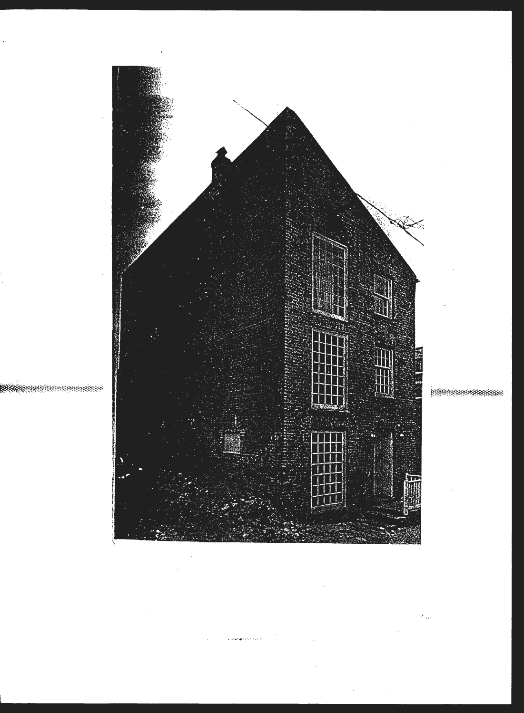

**BEGESTERNING COMPANY AND THE SECOND SECOND SECOND SECOND SECOND SECOND SECOND SECOND SECOND SECOND SECOND SECOND SECOND SECOND SECOND SECOND SECOND SECOND SECOND SECOND SECOND SECOND SECOND SECOND SECOND SECOND SECOND SEC** 

 $\sim$   $\sim$ 

 $\label{eq:1} \left\langle \mathcal{L}_{\mathbf{a}}(\mathbf{x}) \mathbf{x} \mathbf{u}_{\mathbf{a}} \mathbf{g}(\mathbf{x}) \mathbf{v}(\mathbf{x}) \mathbf{x}(\mathbf{x}) \right\rangle = \mathcal{L}_{\mathbf{a}}$  $\sim 10^6$ 

 $^{\prime}$  or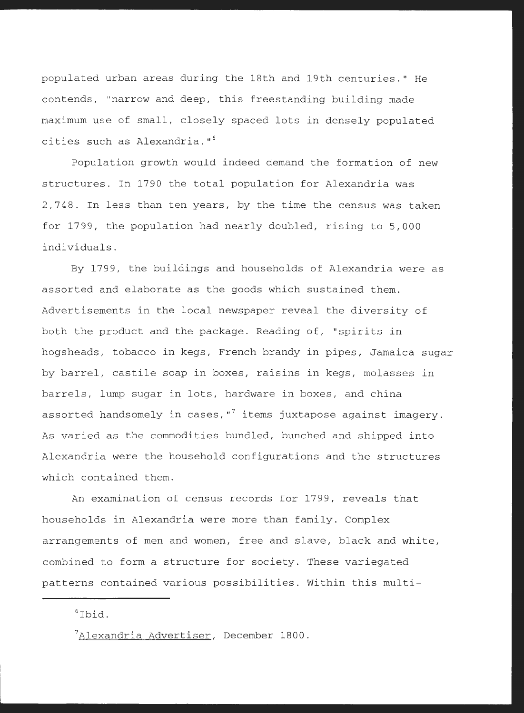populated urban areas during the 18th and 19th centuries." He contends, "narrow and deep, this freestanding building made maximum use of small, closely spaced lots in densely populated cities such as Alexandria." <sup>6</sup>

Population growth would indeed demand the formation of new structures. In 1790 the total population for Alexandria was 2,748. In less than ten years, by the time the census was taken for 1799, the population had nearly doubled, rising to 5,000 individuals.

By 1799, the buildings and households of Alexandria were as assorted and elaborate as the goods which sustained them. Advertisements in the local newspaper reveal the diversity of both the product and the package. Reading of, "spirits in hogsheads, tobacco in kegs, French brandy in pipes, Jamaica sugar by barrel, castile soap in boxes, raisins in kegs, molasses in barrels, lump sugar in lots, hardware in boxes, and china assorted handsomely in cases,  $17$  items juxtapose against imagery. As varied as the commodities bundled, bunched and shipped into Alexandria were the household configurations and the structures which contained them.

An examination of census records for 1799, reveals that households in Alexandria were more than family. Complex arrangements of men and women, free and slave, black and white, combined to form a structure for society. These variegated patterns contained various possibilities. Within this multi-

 $<sup>6</sup>$  Ibid.</sup>

<sup>7</sup>Alexandria Advertiser, December 1800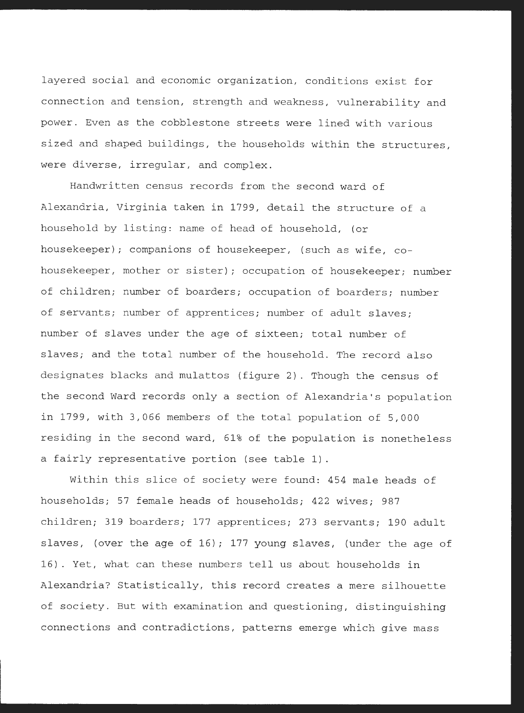layered social and economic organization, conditions exist for connection and tension, strength and weakness, vulnerability and power. Even as the cobblestone streets were lined with various sized and shaped buildings, the households within the structures, were diverse, irregular, and complex.

Handwritten census records from the second ward of Alexandria, Virginia taken in 1799, detail the structure of a household by listing: name of head of household, (or housekeeper); companions of housekeeper, (such as wife, cohousekeeper, mother or sister); occupation of housekeeper; number of children; number of boarders; occupation of boarders; number of servants; number of apprentices; number of adult slaves; number of slaves under the age of sixteen; total number of slaves; and the total number of the household. The record also designates blacks and mulattos (figure 2). Though the census of the second Ward records only a section of Alexandria's population in 1799, with 3,066 members of the total population of 5,000 residing in the second ward, 61% of the population is nonetheless a fairly representative portion (see table 1)

Within this slice of society were found: 454 male heads of households; 57 female heads of households; 422 wives; 987 children; 319 boarders; 177 apprentices; 273 servants; 190 adult slaves, (over the age of 16); 177 young slaves, (under the age of 16). Yet, what can these numbers tell us about households in Alexandria? Statistically, this record creates a mere silhouette of society. But with examination and questioning, distinguishing connections and contradictions, patterns emerge which give mass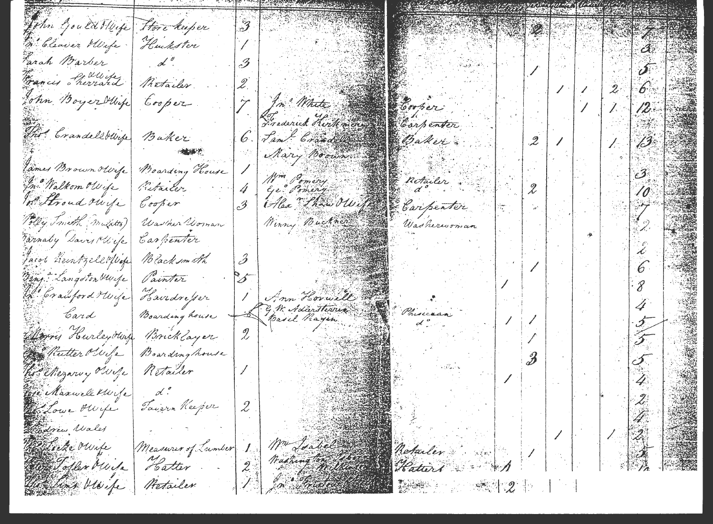$\mathscr{F}$ John Gould Meye Thore keeper M Cleaver Merfe Huckster  $\mathcal{A}^{\mathcal{S}}$ Farah Barber  $\tilde{\mathcal{Z}}$  $d$ .  $\mathcal{F}$ Francis Therrard Metailer  $6 \mathcal{Z}$ Thm Boyer Mife In Mate Cooper Cooper 12 Frederick Kirth não Carpenter hot Crandellblinge Lam! Crandelle Baker Baker.  $\sqrt{3}$  $\mathscr{Z}$  $Z_{\rm c}$ Mary Boomer Retailer James Brown ownfe Boarding House  $\mathcal{B}$ In Nalkom Muje Retailer 10 Rottroud ouge Cooper Alex Than William Earpenter Tolly Tmith (Mulatto) Washer Worman Minny Buckness 200 Washerwoman Tarraby Saves Kliefe Carpenter L. Facol ReintzeleMbole Blackson Ah  $\mathscr{C}$ Painter Bang: Langston Musse a Crawford Muye Sandresser Ann Horwell  $4^\circ$ E.g. M. Adanskerne . Card Boarding house  $\mathcal{J}_{\mathbb{Z}}$ Jory Hurley Ming Bricklayer  $\mathcal{P}_\mathbb{R}$ Be Rutter Mule Boardinghouse 5., Retailer hos Mezarwy VW Je fije Maxwell Mule Taiern Reeper Lowe Hurfe Hodrew Wales Here he owne Mr Toabel Measurer of Trimber Retailer  $\label{eq:2} \mathcal{L}_{\mathbf{X}}\left(\mathbf{z},\mathbf{z}\right)=\left[\begin{array}{cc} \mathcal{L}_{\mathbf{X}}\left(\mathbf{z},\mathbf{z}\right) & \mathcal{L}_{\mathbf{X}}\left(\mathbf{z},\mathbf{z}\right) \\ \mathcal{L}_{\mathbf{X}}\left(\mathbf{z},\mathbf{z}\right) & \mathcal{L}_{\mathbf{X}}\left(\mathbf{z},\mathbf{z}\right) \end{array}\right]$ Washing Ton ton I ofler blude Poatter Hatters .  $\mathbb{R}^n \times \mathbb{R}^n$ Cartines Klock Wetaler **おおま** ショット ※ オンタートリー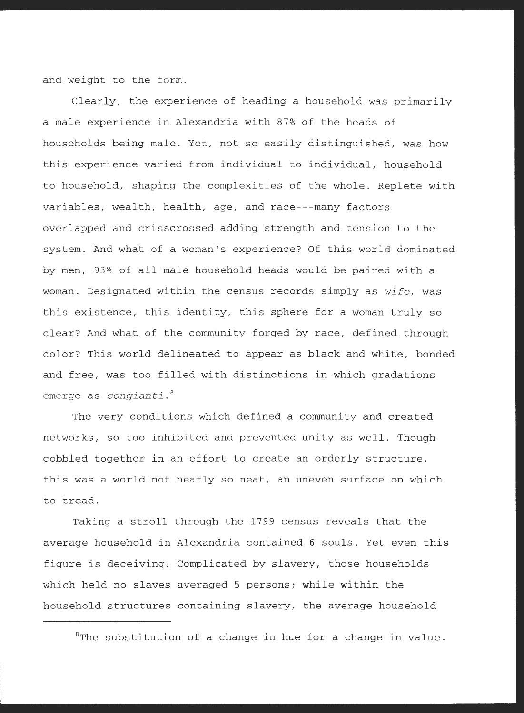and weight to the form.

Clearly, the experience of heading a household was primarily a male experience in Alexandria with 87% of the heads of households being male. Yet, not so easily distinguished, was how this experience varied from individual to individual, household to household, shaping the complexities of the whole. Replete with variables, wealth, health, age, and race---many factors overlapped and crisscrossed adding strength and tension to the system. And what of a woman's experience? Of this world dominated by men, 93% of all male household heads would be paired with a woman. Designated within the census records simply as *wife,* was this existence, this identity, this sphere for a woman truly so clear? And what of the community forged by race, defined through color? This world delineated to appear as black and white, bonded and free, was too filled with distinctions in which gradations emerge as *congianti*.<sup>8</sup>

The very conditions which defined a community and created networks, so too inhibited and prevented unity as well. Though cobbled together in an effort to create an orderly structure, this was a world not nearly so neat, an uneven surface on which to tread.

Taking a stroll through the 1799 census reveals that the average household in Alexandria contained 6 souls. Yet even this figure is deceiving. Complicated by slavery, those households which held no slaves averaged 5 persons; while within the household structures containing slavery, the average household

 $^8\!$ The substitution of a change in hue for a change in value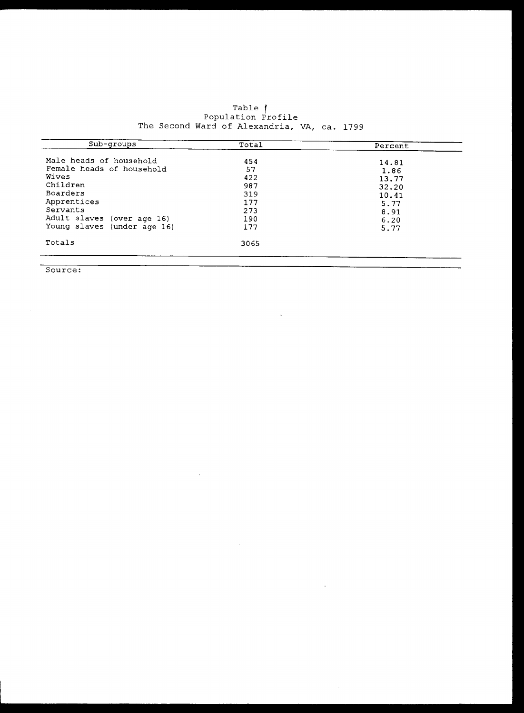| Table ∤                                     |  |
|---------------------------------------------|--|
| Population Profile                          |  |
| The Second Ward of Alexandria, VA, ca. 1799 |  |

| Sub-groups                                                    | Total             | Percent        |
|---------------------------------------------------------------|-------------------|----------------|
| Male heads of household<br>Female heads of household<br>Wives | 454<br>57         | 14.81<br>1.86  |
| Children<br>Boarders                                          | 422<br>987<br>319 | 13.77<br>32.20 |
| Apprentices<br>Servants                                       | 177<br>273        | 10.41<br>5.77  |
| Adult slaves (over age 16)<br>Young slaves (under age 16)     | 190<br>177        | 8.91<br>6.20   |
| Totals                                                        | 3065              | 5.77           |

 $\mathcal{A}$ 

 $\ddot{\phantom{a}}$ 

Source: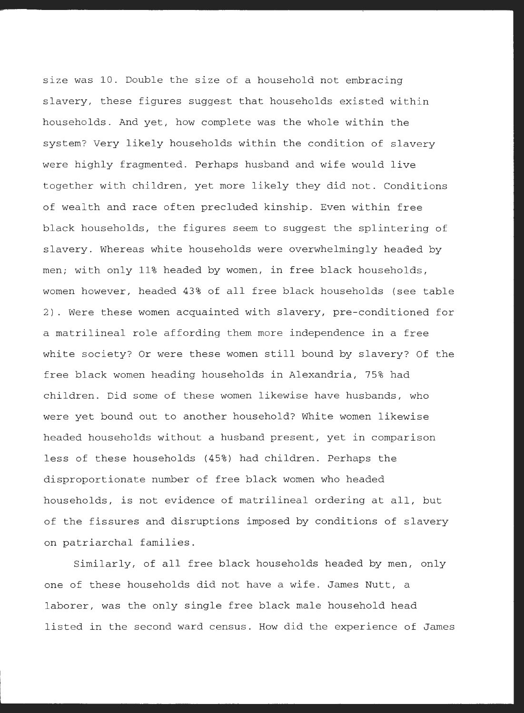size was 10. Double the size of a household not embracing slavery, these figures suggest that households existed within households. And yet, how complete was the whole within the system? Very likely households within the condition of slavery were highly fragmented. Perhaps husband and wife would live together with children, yet more likely they did not. Conditions of wealth and race often precluded kinship. Even within free black households, the figures seem to suggest the splintering of slavery. Whereas white households were overwhelmingly headed by men; with only 11% headed by women, in free black households, women however, headed 43% of all free black households (see table 2). Were these women acquainted with slavery, pre-conditioned for a matrilineal role affording them more independence in a free white society? Or were these women still bound by slavery? Of the free black women heading households in Alexandria, 75% had children. Did some of these women likewise have husbands, who were yet bound out to another household? White women likewise headed households without a husband present, yet in comparison less of these households (45%) had children. Perhaps the disproportionate number of free black women who headed households, is not evidence of matrilineal ordering at all, but of the fissures and disruptions imposed by conditions of slavery on patriarchal families.

Similarly, of all free black households headed by men, only one of these households did not have a wife. James Nutt, a laborer, was the only single free black male household head listed in the second ward census. How did the experience of James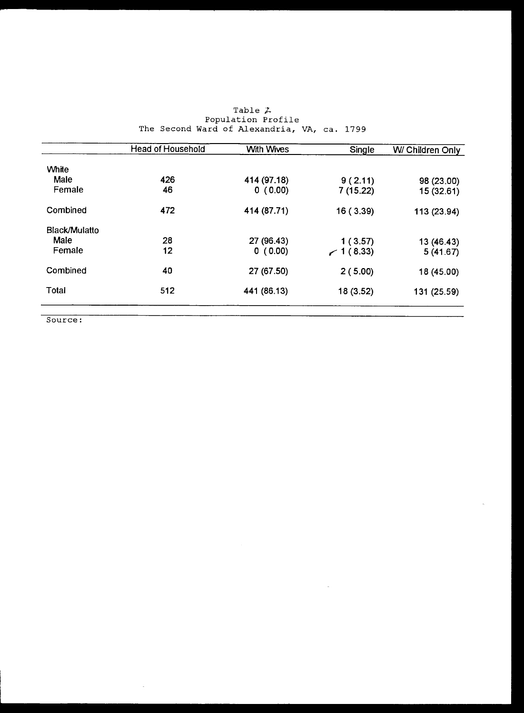|               | <b>Head of Household</b> | <b>With Wives</b> | Single     | W/ Children Only |
|---------------|--------------------------|-------------------|------------|------------------|
|               |                          |                   |            |                  |
| White         |                          |                   |            |                  |
| Male          | 426                      | 414 (97.18)       | 9(2.11)    | 98 (23.00)       |
| Female        | 46                       | 0(0.00)           | 7(15.22)   | 15 (32.61)       |
| Combined      | 472                      | 414 (87.71)       | 16 (3.39)  | 113 (23.94)      |
| Black/Mulatto |                          |                   |            |                  |
| Male          | 28                       | 27 (96.43)        | 1(3.57)    | 13 (46.43)       |
| Female        | 12                       | 0(0.00)           | $-1(8.33)$ | 5(41.67)         |
| Combined      | 40                       | 27 (67.50)        | 2(5.00)    | 18 (45.00)       |
| Total         | 512                      | 441 (86.13)       | 18 (3.52)  | 131 (25.59)      |
|               |                          |                   |            |                  |

### Table *J:.*  Population Profi The Second Ward of Alexandria, VA, ca. 1799

Source: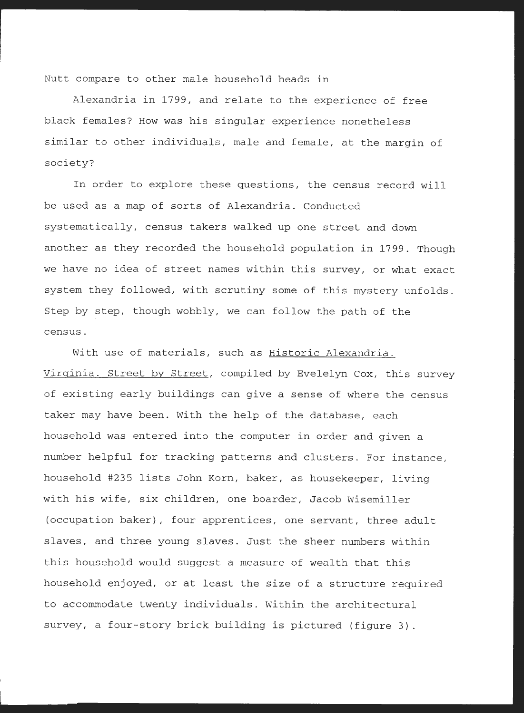Nutt compare to other male household heads in

Alexandria in 1799, and relate to the experience of free black females? How was his singular experience nonetheless similar to other individuals, male and female, at the margin of society?

In order to explore these questions, the census record will be used as a map of sorts of Alexandria. Conducted systematically, census takers walked up one street and down another as they recorded the household population in 1799. Though we have no idea of street names within this survey, or what exact system they followed, with scrutiny some of this mystery unfolds. Step by step, though wobbly, we can follow the path of the census.

With use of materials, such as Historic Alexandria. Virginia. Street by Street, compiled by Evelelyn Cox, this survey of existing early buildings can give a sense of where the census taker may have been. With the help of the database, each household was entered into the computer in order and given a number helpful for tracking patterns and clusters. For instance, household #235 lists John Korn, baker, as housekeeper, living with his wife, six children, one boarder, Jacob Wisemiller (occupation baker), four apprentices, one servant, three adult slaves, and three young slaves. Just the sheer numbers within this household would suggest a measure of wealth that this household enjoyed, or at least the size of a structure required to accommodate twenty individuals. Within the architectural survey, a four-story brick building is pictured (figure 3).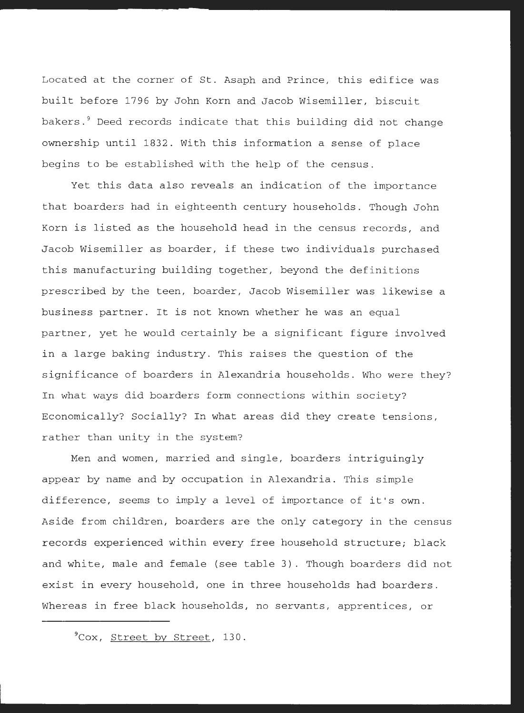Located at the corner of St. Asaph and Prince, this edifice was built before 1796 by John Korn and Jacob Wisemiller, biscuit bakers.<sup>9</sup> Deed records indicate that this building did not change ownership until 1832. With this information a sense of place begins to be established with the help of the census.

Yet this data also reveals an indication of the importance that boarders had in eighteenth century households. Though John Korn is listed as the household head in the census records, and Jacob Wisemiller as boarder, if these two individuals purchased this manufacturing building together, beyond the definitions prescribed by the teen, boarder, Jacob Wisemiller was likewise a business partner. It is not known whether he was an equal partner, yet he would certainly be a significant figure involved in a large baking industry. This raises the question of the significance of boarders in Alexandria households. Who were they? In what ways did boarders form connections within society? Economically? Socially? In what areas did they create tensions, rather than unity in the system?

Men and women, married and single, boarders intriguingly appear by name and by occupation in Alexandria. This simple difference, seems to imply a level of importance of it's own. Aside from children, boarders are the only category in the census records experienced within every free household structure; black and white, male and female (see table 3). Though boarders did not exist in every household, one in three households had boarders. Whereas in free black households, no servants, apprentices, or

<sup>9</sup>Cox, <u>Street by Street</u>, 130.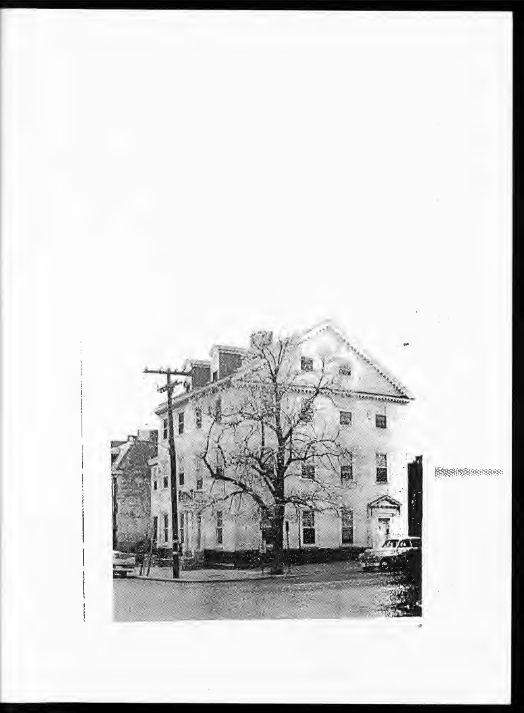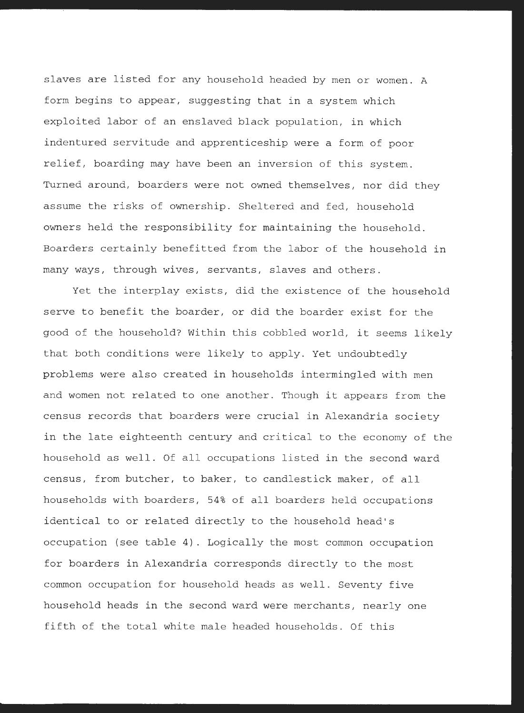slaves are listed for any household headed by men or women. A form begins to appear, suggesting that in a system which exploited labor of an enslaved black population, in which indentured servitude and apprenticeship were a form of poor relief, boarding may have been an inversion of this system. Turned around, boarders were not owned themselves, nor did they assume the risks of ownership. Sheltered and fed, household owners held the responsibility for maintaining the household. Boarders certainly benefitted from the labor of the household in many ways, through wives, servants, slaves and others.

Yet the interplay exists, did the existence of the household serve to benefit the boarder, or did the boarder exist for the good of the household? Within this cobbled world, it seems likely that both conditions were likely to apply. Yet undoubtedly problems were also created in households intermingled with men and women not related to one another. Though it appears from the census records that boarders were crucial in Alexandria society in the late eighteenth century and critical to the economy of the household as well. Of all occupations listed in the second ward census, from butcher, to baker, to candlestick maker, of all households with boarders, 54% of all boarders held occupations identical to or related directly to the household head's occupation (see table 4). Logically the most common occupation for boarders in Alexandria corresponds directly to the most common occupation for household heads as well. Seventy five household heads in the second ward were merchants, nearly one fifth of the total white male headed households. Of this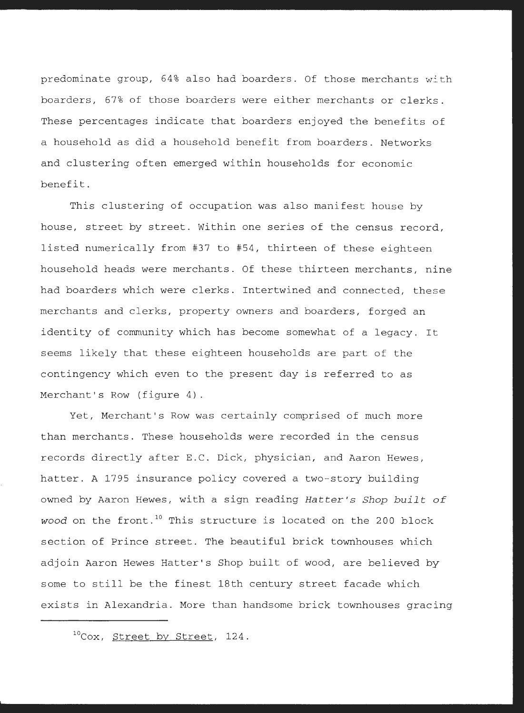predominate group, 64% also had boarders. Of those merchants with boarders, 67% of those boarders were either merchants or clerks. These percentages indicate that boarders enjoyed the benefits of a household as did a household benefit from boarders. Networks and clustering often emerged within households for economic benefit.

This clustering of occupation was also manifest house by house, street by street. Within one series of the census record, listed numerically from #37 to #54, thirteen of these eighteen household heads were merchants. Of these thirteen merchants, nine had boarders which were clerks. Intertwined and connected, these merchants and clerks, property owners and boarders, forged an identity of community which has become somewhat of a legacy. It seems likely that these eighteen households are part of the contingency which even to the present day is referred to as Merchant's Row (figure 4).

Yet, Merchant's Row was certainly comprised of much more than merchants. These households were recorded in the census records directly after E.C. Dick, physician, and Aaron Hewes, hatter. A 1795 insurance policy covered a two-story building owned by Aaron Hewes, with a sign reading *Hatter's Shop built of wood* on the front. 10 This structure is located on the 200 block section of Prince street. The beautiful brick townhouses which adjoin Aaron Hewes Hatter's Shop built of wood, are believed by some to still be the finest 18th century street facade which exists in Alexandria. More than handsome brick townhouses gracing

<sup>10</sup>Cox, Street by Street, 124.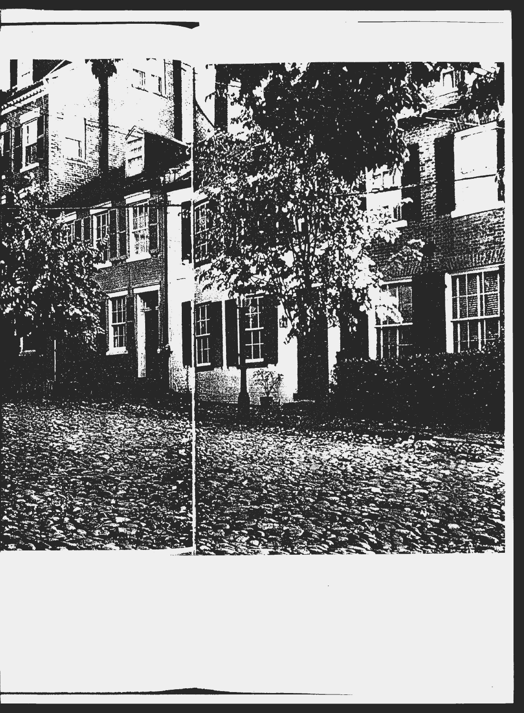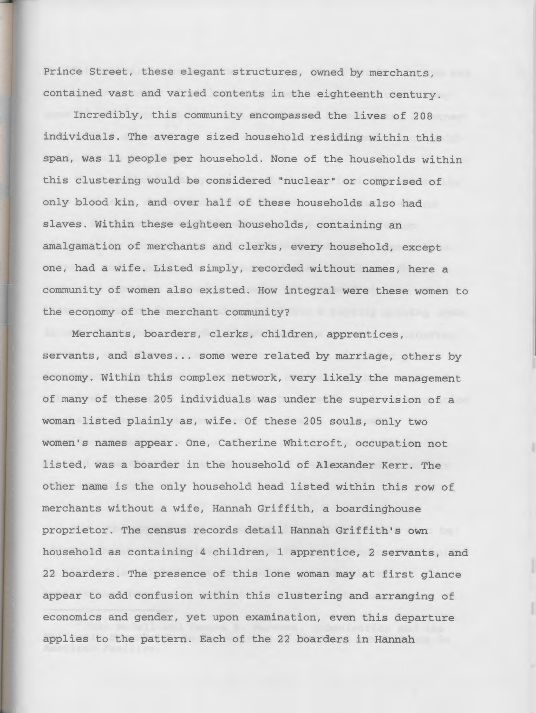Prince Street, these elegant structures, owned by merchants, contained vast and varied contents in the eighteenth century.

Incredibly, this community encompassed the lives of 208 individuals. The average sized household residing within this span, was 11 people per household. None of the households within this clustering would be considered "nuclear" or comprised of only blood kin, and over half of these households also had slaves. Within these eighteen households, containing an amalgamation of merchants and clerks, every household, except one, had a wife. Listed simply, recorded without names, here a community of women also existed. How integral were these women to the economy of the merchant community?

Merchants, boarders, clerks, children, apprentices, servants, and slaves ... some were related by marriage, others by economy. Within this complex network, very likely the management of many of these 205 individuals was under the supervision of a woman listed plainly as, wife. Of these 205 souls, only two women's names appear. One, Catherine Whitcroft, occupation not listed, was a boarder in the household of Alexander Kerr. The other name is the only household head listed within this row of merchants without a wife, Hannah Griffith, a boardinghouse proprietor. The census records detail Hannah Griffith's own household as containing 4 children, 1 apprentice, 2 servants, and 22 boarders. The presence of this lone woman may at first glance appear to add confusion within this clustering and arranging of economics and gender, yet upon examination, even this departure applies to the pattern. Each of the 22 boarders in Hannah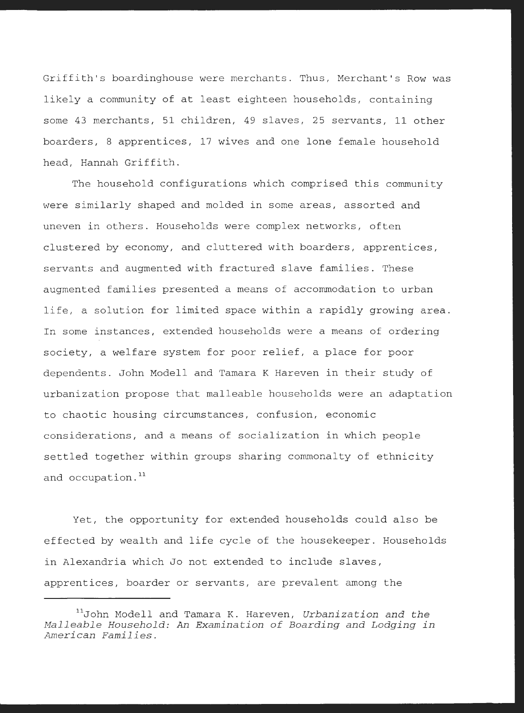Griffith's boardinghouse were merchants. Thus, Merchant's Row was likely a community of at least eighteen households, containing some 43 merchants, 51 children, 49 slaves, 25 servants, 11 other boarders, 8 apprentices, 17 wives and one lone female household head, Hannah Griffith.

The household configurations which comprised this community were similarly shaped and molded in some areas, assorted and uneven in others. Households were complex networks, often clustered by economy, and cluttered with boarders, apprentices, servants and augmented with fractured slave families. These augmented families presented a means of accommodation to urban life, a solution for limited space within a rapidly growing area. In some instances, extended households were a means of ordering society, a welfare system for poor relief, a place for poor dependents. John Modell and Tamara K Hareven in their study of urbanization propose that malleable households were an adaptation to chaotic housing circumstances, confusion, economic considerations, and a means of socialization in which people settled together within groups sharing commonalty of ethnicity and occupation. $11$ 

Yet, the opportunity for extended households could also be effected by wealth and life cycle of the housekeeper. Households in Alexandria which Jo not extended to include slaves, apprentices, boarder or servants, are prevalent among the

<sup>11</sup> John Modell and Tamara K. Hareven, *Urbanization and the Malleable Household: An Examination of Boarding and Lodging in American Families.*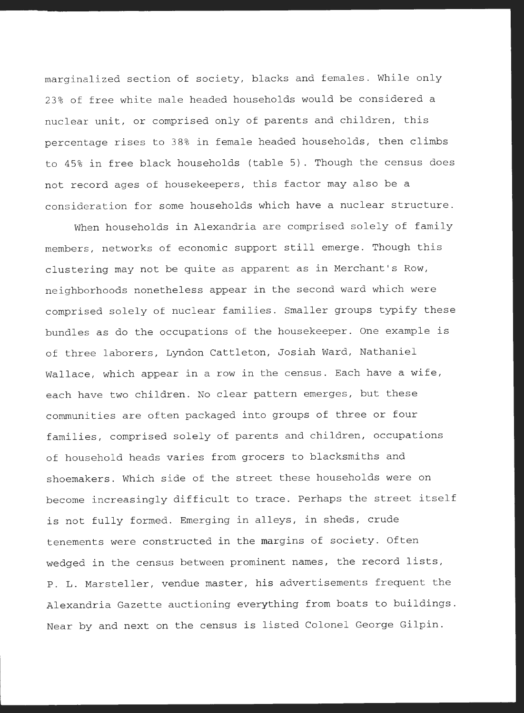marginalized section of society, blacks and females. While only 23% of free white male headed households would be considered a nuclear unit, or comprised only of parents and children, this percentage rises to 38% in female headed households, then climbs to 45% in free black households (table 5). Though the census does not record ages of housekeepers, this factor may also be a consideration for some households which have a nuclear structure.

When households in Alexandria are comprised solely of family members, networks of economic support still emerge. Though this clustering may not be quite as apparent as in Merchant's Row, neighborhoods nonetheless appear in the second ward which were comprised solely of nuclear families. Smaller groups typify these bundles as do the occupations of the housekeeper. One example is of three laborers, Lyndon Cattleton, Josiah Ward, Nathaniel Wallace, which appear in a row in the census. Each have a wife, each have two children. No clear pattern emerges, but these communities are often packaged into groups of three or four families, comprised solely of parents and children, occupations of household heads varies from grocers to blacksmiths and shoemakers. Which side of the street these households were on become increasingly difficult to trace. Perhaps the street itself is not fully formed. Emerging in alleys, in sheds, crude tenements were constructed in the margins of society. Often wedged in the census between prominent names, the record lists, P. L. Marsteller, vendue master, his advertisements frequent the Alexandria Gazette auctioning everything from boats to buildings. Near by and next on the census is listed Colonel George Gilpin.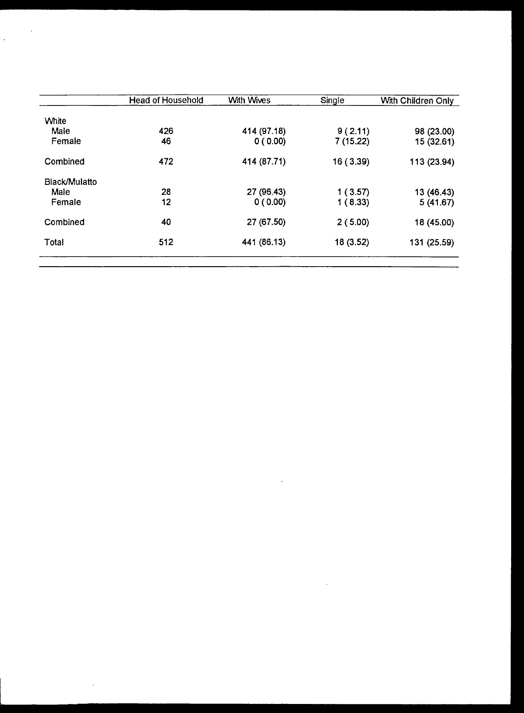| <b>Head of Household</b> | With Wives  | Single                    | With Children Only |
|--------------------------|-------------|---------------------------|--------------------|
|                          |             |                           |                    |
| 426                      |             |                           | 98 (23.00)         |
| 46                       | 0(0.00)     | 7(15.22)                  | 15 (32.61)         |
| 472                      | 414 (87.71) | 16 (3.39)                 | 113 (23.94)        |
|                          |             |                           |                    |
| 28                       |             |                           | 13 (46.43)         |
| 12                       | 0(0.00)     | 1(8.33)                   | 5(41.67)           |
| 40                       | 27 (67.50)  | 2(5.00)                   | 18 (45.00)         |
| 512                      | 441 (86.13) | 18 (3.52)                 | 131 (25.59)        |
|                          |             | 414 (97.18)<br>27 (96.43) | 9(2.11)<br>1(3.57) |

 $\label{eq:2.1} \begin{split} \mathcal{L}_{\text{max}}(\mathcal{L}_{\text{max}}) = \mathcal{L}_{\text{max}}(\mathcal{L}_{\text{max}}) \end{split}$ 

 $\mathbb{Z}^2$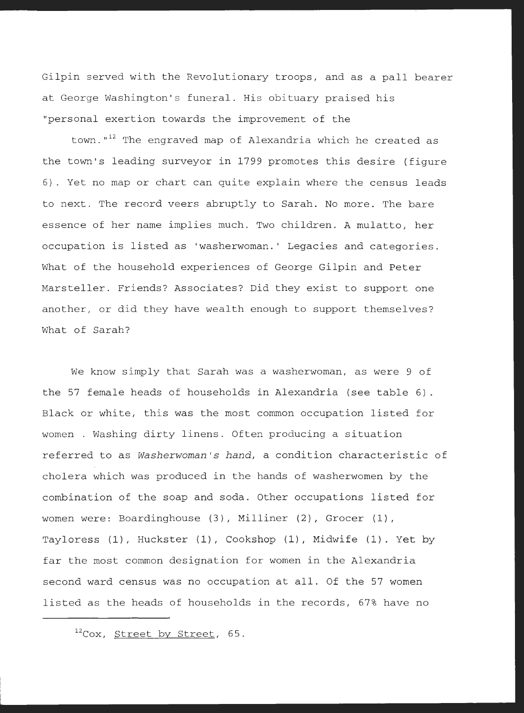Gilpin served with the Revolutionary troops, and as a pall bearer at George Washington's funeral. His obituary praised his "personal exertion towards the improvement of the

town.  $1^{12}$  The engraved map of Alexandria which he created as the town's leading surveyor in 1799 promotes this desire (figure 6). Yet no map or chart can quite explain where the census leads to next. The record veers abruptly to Sarah. No more. The bare essence of her name implies much. Two children. A mulatto, her occupation is listed as 'washerwoman.' Legacies and categories. What of the household experiences of George Gilpin and Peter Marsteller. Friends? Associates? Did they exist to support one another, or did they have wealth enough to support themselves? What of Sarah?

We know simply that Sarah was a washerwoman, as were 9 of the 57 female heads of households in Alexandria (see table 6). Black or white, this was the most common occupation listed for women . Washing dirty linens. Often producing a situation referred to as *Washerwoman's hand,* a condition characteristic of cholera which was produced in the hands of washerwomen by the combination of the soap and soda. Other occupations listed for women were: Boardinghouse (3), Milliner (2), Grocer (1), Tayloress (1), Huckster (1), Cookshop (1), Midwife (1). Yet by far the most common designation for women in the Alexandria second ward census was no occupation at all. Of the 57 women listed as the heads of households in the records, 67% have no

 $12$ Cox, Street by Street, 65.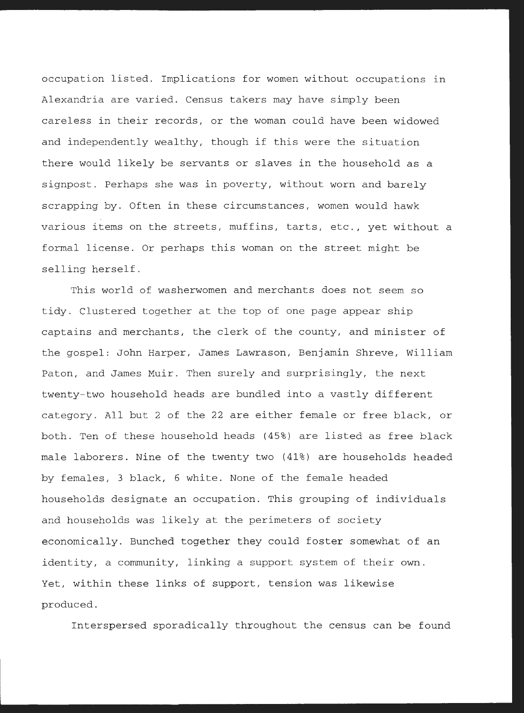occupation listed. Implications for women without occupations in Alexandria are varied. Census takers may have simply been careless in their records, or the woman could have been widowed and independently wealthy, though if this were the situation there would likely be servants or slaves in the household as a signpost. Perhaps she was in poverty, without worn and barely scrapping by. Often in these circumstances, women would hawk various items on the streets, muffins, tarts, etc., yet without a formal license. Or perhaps this woman on the street might be selling herself.

This world of washerwomen and merchants does not seem so tidy. Clustered together at the top of one page appear ship captains and merchants, the clerk of the county, and minister of the gospel: John Harper, James Lawrason, Benjamin Shreve, William Paton, and James Muir. Then surely and surprisingly, the next twenty-two household heads are bundled into a vastly different category. All but 2 of the 22 are either female or free black, or both. Ten of these household heads (45%) are listed as free black male laborers. Nine of the twenty two (41%) are households headed by females, 3 black, 6 white. None of the female headed households designate an occupation. This grouping of individuals and households was likely at the perimeters of society economically. Bunched together they could foster somewhat of an identity, a community, linking a support system of their own. Yet, within these links of support, tension was likewise produced.

Interspersed sporadically throughout the census can be found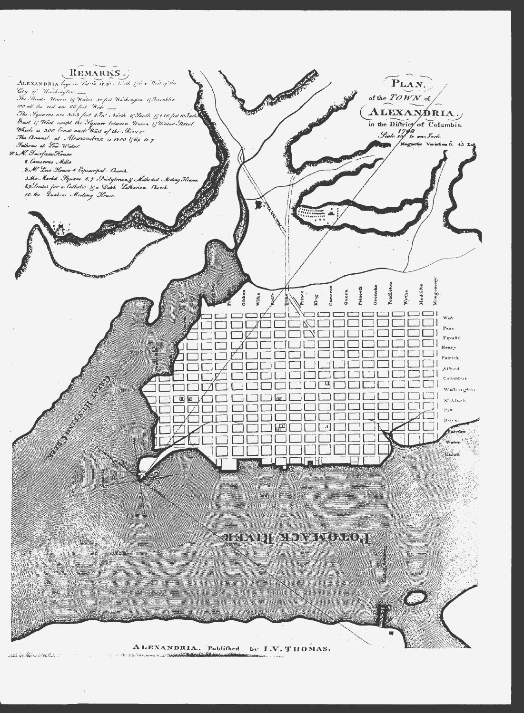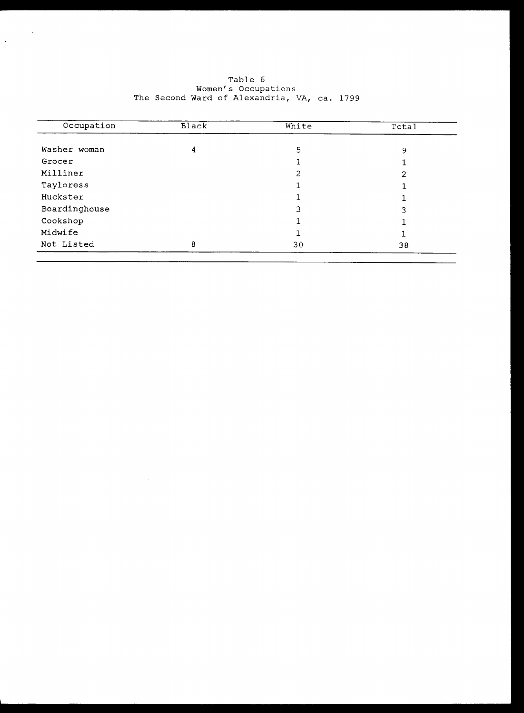|  |  | Table 6                                     |  |  |
|--|--|---------------------------------------------|--|--|
|  |  | Women's Occupations                         |  |  |
|  |  | The Second Ward of Alexandria, VA, ca. 1799 |  |  |

 $\frac{1}{2} \left( \frac{1}{2} \right)^{2} \left( \frac{1}{2} \right)^{2} \left( \frac{1}{2} \right)^{2}$ 

| Occupation    | <b>Black</b> | White | Total |
|---------------|--------------|-------|-------|
| Washer woman  | 4            | 5     | 9     |
| Grocer        |              |       |       |
| Milliner      |              | 2     | 2     |
| Tayloress     |              |       |       |
| Huckster      |              |       |       |
| Boardinghouse |              | 3     | 3     |
| Cookshop      |              |       |       |
| Midwife       |              |       |       |
| Not Listed    | 8            | 30    | 38    |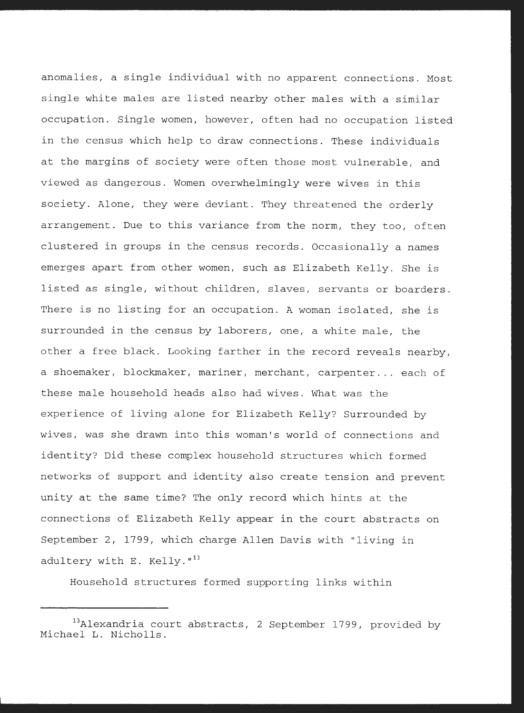anomalies, a single individual with no apparent connections. Most single white males are listed nearby other males with a similar occupation. Single women, however, often had no occupation listed in the census which help to draw connections. These individuals at the margins of society were often those most vulnerable, and viewed as dangerous. Women overwhelmingly were wives in this society. Alone, they were deviant. They threatened the orderly arrangement. Due to this variance from the norm, they too, often clustered in groups in the census records. Occasionally a names emerges apart from other women, such as Elizabeth Kelly. She is listed as single, without children, slaves, servants or boarders. There is no listing for an occupation. A woman isolated, she is surrounded in the census by laborers, one, a white male, the other a free black. Looking farther in the record reveals nearby, a shoemaker, blockmaker, mariner, merchant, carpenter ... each of these male household heads also had wives. What was the experience of living alone for Elizabeth Kelly? Surrounded by wives, was she drawn into this woman's world of connections and identity? Did these complex household structures which formed networks of support and identity also create tension and prevent unity at the same time? The only record which hints at the connections of Elizabeth Kelly appear in the court abstracts on September 2, 1799, which charge Allen Davis with "living in adultery with  $E.$  Kelly." $13$ 

Household structures formed supporting links within

<sup>&</sup>lt;sup>13</sup>Alexandria court abstracts, 2 September 1799, provided by Michael L. Nicholls.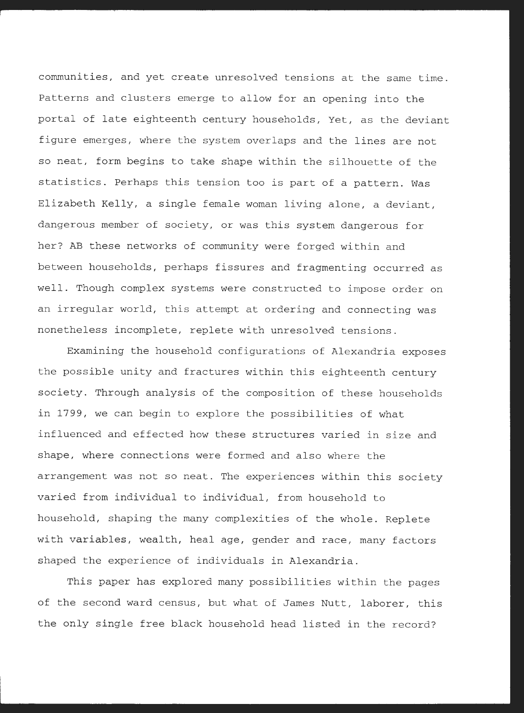communities, and yet create unresolved tensions at the same time. Patterns and clusters emerge to allow for an opening into the portal of late eighteenth century households, Yet, as the deviant figure emerges, where the system overlaps and the lines are not so neat, form begins to take shape within the silhouette of the statistics. Perhaps this tension too is part of a pattern. Was Elizabeth Kelly, a single female woman living alone, a deviant, dangerous member of society, or was this system dangerous for her? AB these networks of community were forged within and between households, perhaps fissures and fragmenting occurred as well. Though complex systems were constructed to impose order on an irregular world, this attempt at ordering and connecting was nonetheless incomplete, replete with unresolved tensions.

Examining the household configurations of Alexandria exposes the possible unity and fractures within this eighteenth century society. Through analysis of the composition of these households in 1799, we can begin to explore the possibilities of what influenced and effected how these structures varied in size and shape, where connections were formed and also where the arrangement was not so neat. The experiences within this society varied from individual to individual, from household to household, shaping the many complexities of the whole. Replete with variables, wealth, heal age, gender and race, many factors shaped the experience of individuals in Alexandria.

This paper has explored many possibilities within the pages of the second ward census, but what of James Nutt, laborer, this the only single free black household head listed in the record?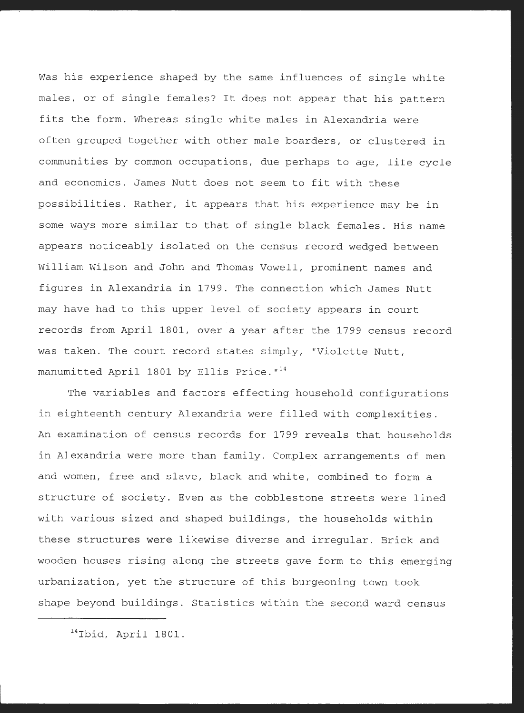Was his experience shaped by the same influences of single white males, or of single females? It does not appear that his pattern fits the form. Whereas single white males in Alexandria were often grouped together with other male boarders, or clustered in communities by common occupations, due perhaps to age, life cycle and economics. James Nutt does not seem to fit with these possibilities. Rather, it appears that his experience may be in some ways more similar to that of single black females. His name appears noticeably isolated on the census record wedged between William Wilson and John and Thomas Vowell, prominent names and figures in Alexandria in 1799. The connection which James Nutt may have had to this upper level of society appears in court records from April 1801, over a year after the 1799 census record was taken. The court record states simply, "Violette Nutt, manumitted April 1801 by Ellis Price."<sup>14</sup>

The variables and factors effecting household configurations in eighteenth century Alexandria were filled with complexities. An examination of census records for 1799 reveals that households in Alexandria were more than family. Complex arrangements of men and women, free and slave, black and white, combined to form a structure of society. Even as the cobblestone streets were lined with various sized and shaped buildings, the households within these structures were likewise diverse and irregular. Brick and wooden houses rising along the streets gave form to this emerging urbanization, yet the structure of this burgeoning town took shape beyond buildings. Statistics within the second ward census

<sup>14</sup> Ibid, April 1801.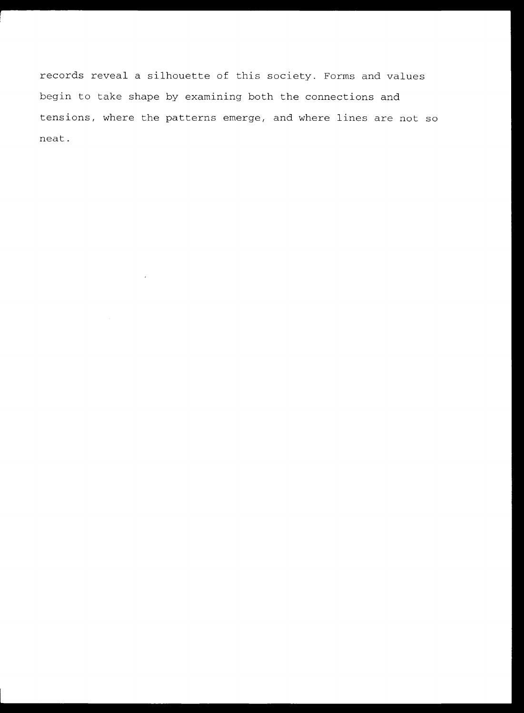records reveal a silhouette of this society. Forms and values begin to take shape by examining both the connections and tensions, where the patterns emerge, and where lines are not so neat.

 $\mathcal{A}^{\mathcal{A}}$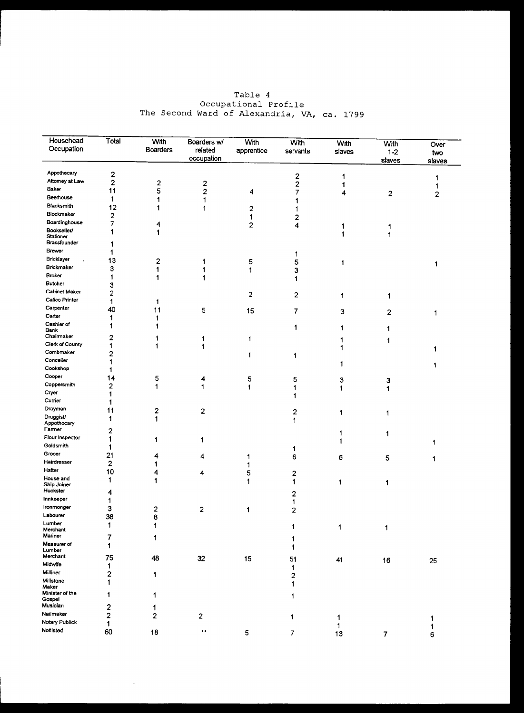#### Table 4 Occupational Profi The Second Ward of Alexandria, VA, ca. 1799

| Househead<br>Occupation                  | Total                   | With<br><b>Boarders</b> | Boarders w/<br>related<br>occupation | With<br>apprentice | With<br>servants | With<br>slaves | With<br>$1-2$<br>slaves | Over<br>two<br>slaves |
|------------------------------------------|-------------------------|-------------------------|--------------------------------------|--------------------|------------------|----------------|-------------------------|-----------------------|
|                                          |                         |                         |                                      |                    |                  |                |                         |                       |
| Appothecary                              | 2                       |                         |                                      |                    | 2                | 1              |                         | 1                     |
| Attorney at Law                          | 2                       | 2                       | $\mathbf 2$                          |                    | 2                | 1              |                         | 1                     |
| Baker                                    | 11                      | 5                       | $\overline{\mathbf{c}}$              | 4                  | 7                | 4              | 2                       | 2                     |
| Beerhouse                                | 1                       | 1                       | 1                                    |                    | 1                |                |                         |                       |
| Blacksmith                               | 12                      | 1                       | 1                                    | 2                  | 1                |                |                         |                       |
| Blockmaker                               | 2                       |                         |                                      | 1                  | 2                |                |                         |                       |
| Boardinghouse                            | 7                       | 4                       |                                      | 2                  | 4                | 1              | 1                       |                       |
| Bookseller/<br>Stationer<br>Brassfounder | 1                       | 1                       |                                      |                    |                  | 1              | 1                       |                       |
| Brower                                   | 1                       |                         |                                      |                    |                  |                |                         |                       |
| Bricklayer                               | 1<br>13                 |                         |                                      |                    | 1                |                |                         |                       |
| Brickmaker                               |                         | $\overline{\mathbf{c}}$ | 1                                    | 5                  | 5                | 1              |                         | 1                     |
| <b>Broker</b>                            | 3                       | 1                       | 1                                    | 1                  | з                |                |                         |                       |
| <b>Butcher</b>                           | 1                       | 1                       | 1                                    |                    | 1                |                |                         |                       |
| <b>Cabinet Maker</b>                     | 3                       |                         |                                      |                    |                  |                |                         |                       |
| Calico Printer                           | $\mathbf 2$             |                         |                                      | 2                  | 2                | 1              | 1                       |                       |
| Carpenter                                | 1                       | 1                       |                                      |                    |                  |                |                         |                       |
| Carter                                   | 40                      | 11                      | 5                                    | 15                 | 7                | 3              | $\mathbf{2}$            | 1                     |
| Cashier of                               | 1                       | 1                       |                                      |                    |                  |                |                         |                       |
| Bank                                     | 1                       | 1                       |                                      |                    | 1                | 1              | 1                       |                       |
| Chairmaker                               | 2                       | 1                       | 1                                    | 1                  |                  | 1              |                         |                       |
| <b>Clerk of County</b>                   | 1                       | 1                       | 1                                    |                    |                  | 1              | 1                       |                       |
| Combmaker                                | 2                       |                         |                                      | 1                  | 1                |                |                         | 1                     |
| Conceller                                | 1                       |                         |                                      |                    |                  |                |                         |                       |
| Cookshop                                 | 1                       |                         |                                      |                    |                  | 1              |                         | 1                     |
| Cooper                                   | 14                      | 5                       | 4                                    | 5                  | 5                |                |                         |                       |
| Coppersmith                              | 2                       | 1                       | 1                                    | $\mathbf{1}$       |                  | з              | з                       |                       |
| Cryer                                    | 1                       |                         |                                      |                    | 1                | 1              | 1                       |                       |
| Currier                                  | 1                       |                         |                                      |                    | 1                |                |                         |                       |
| Drayman                                  | 11                      | 2                       |                                      |                    |                  |                |                         |                       |
| Druggist/<br>Appothocary                 | 1                       | 1                       | 2                                    |                    | 2<br>1           | 1              | 1                       |                       |
| Farmer                                   | $\overline{2}$          |                         |                                      |                    |                  | ı              | 1                       |                       |
| Flour Inspector                          | 1                       | 1                       | 1                                    |                    |                  | 1              |                         | 1                     |
| Goldsmith                                | 1                       |                         |                                      |                    | 1                |                |                         |                       |
| Grocer                                   | 21                      | 4                       | 4                                    | 1                  | 6                | 6              | 5                       |                       |
| Hairdresser                              | $\overline{\mathbf{c}}$ | 1                       |                                      | 1                  |                  |                |                         | 1                     |
| Hatter                                   | 10                      | 4                       | 4                                    | 5                  | 2                |                |                         |                       |
| House and<br>Ship Joiner<br>Huckster     | 1                       | 1                       |                                      | 1                  | 1                | 1              | 1                       |                       |
|                                          | 4                       |                         |                                      |                    | 2                |                |                         |                       |
| Innkeeper                                | 1                       |                         |                                      |                    | 1                |                |                         |                       |
| Ironmonger                               | 3                       | 2                       | $\mathbf{2}$                         | 1                  | 2                |                |                         |                       |
| Labourer                                 | 38                      | 8                       |                                      |                    |                  |                |                         |                       |
| Lumber<br>Merchant                       | 1                       |                         |                                      |                    | ı                | 1              | 1                       |                       |
| Mariner                                  | 7                       | 1                       |                                      |                    |                  |                |                         |                       |
| Measurer of<br>Lumber                    | 1                       |                         |                                      |                    | 1<br>1           |                |                         |                       |
| Merchant                                 | 75                      | 48                      | 32                                   | 15                 | 51               | 41             | 16                      | 25                    |
| Midwife                                  | 1                       |                         |                                      |                    | 1                |                |                         |                       |
| Milliner                                 | $\mathbf{z}$            | 1                       |                                      |                    | 2                |                |                         |                       |
| Milistone                                | 1                       |                         |                                      |                    | 1                |                |                         |                       |
| Maker<br>Minister of the<br>Gospel       | 1                       | 1                       |                                      |                    | 1                |                |                         |                       |
| Musician                                 | $\overline{\mathbf{c}}$ | 1                       |                                      |                    |                  |                |                         |                       |
| Nailmaker                                | 2                       | 2                       | $\mathbf{2}$                         |                    |                  |                |                         |                       |
| Notary Publick                           | 1                       |                         |                                      |                    | 1                | 1              |                         | 1                     |
|                                          |                         | 18                      |                                      |                    |                  | 1              |                         | 1                     |